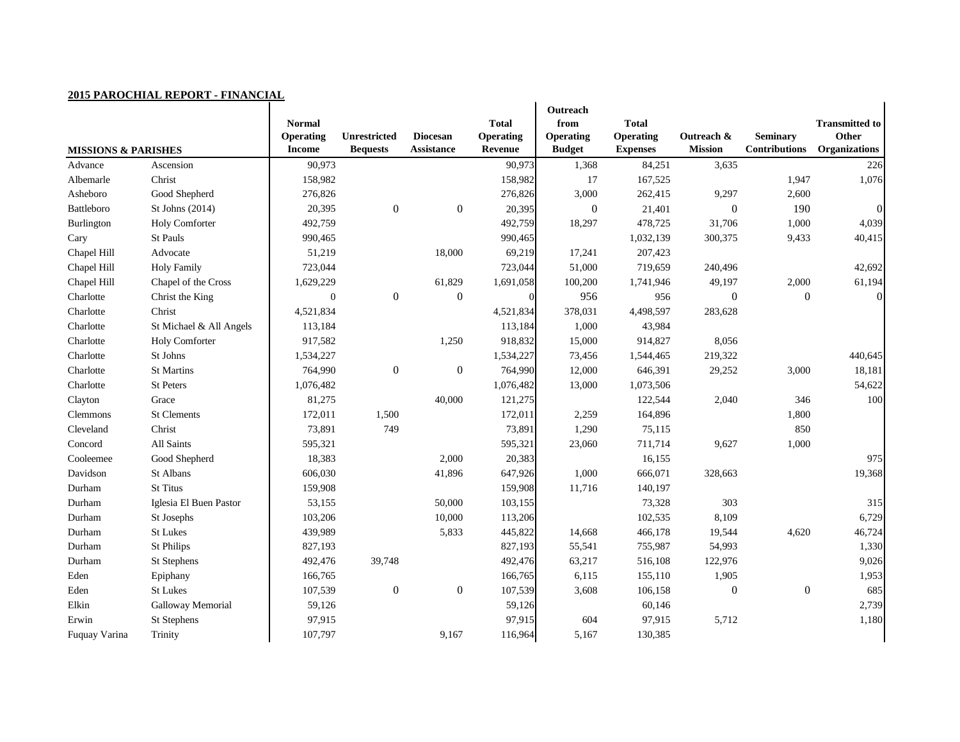| <b>MISSIONS &amp; PARISHES</b> |                         | <b>Normal</b><br><b>Operating</b><br><b>Income</b> | <b>Unrestricted</b><br><b>Bequests</b> | <b>Diocesan</b><br><b>Assistance</b> | <b>Total</b><br><b>Operating</b><br><b>Revenue</b> | Outreach<br>from<br><b>Operating</b><br><b>Budget</b> | <b>Total</b><br><b>Operating</b><br><b>Expenses</b> | Outreach &<br><b>Mission</b> | <b>Seminary</b><br><b>Contributions</b> | <b>Transmitted to</b><br>Other<br><b>Organizations</b> |
|--------------------------------|-------------------------|----------------------------------------------------|----------------------------------------|--------------------------------------|----------------------------------------------------|-------------------------------------------------------|-----------------------------------------------------|------------------------------|-----------------------------------------|--------------------------------------------------------|
| Advance                        | Ascension               | 90,973                                             |                                        |                                      | 90,973                                             | 1,368                                                 | 84,251                                              | 3,635                        |                                         | 226                                                    |
| Albemarle                      | Christ                  | 158,982                                            |                                        |                                      | 158,982                                            | 17                                                    | 167,525                                             |                              | 1,947                                   | 1,076                                                  |
| Asheboro                       | Good Shepherd           | 276,826                                            |                                        |                                      | 276,826                                            | 3,000                                                 | 262,415                                             | 9,297                        | 2,600                                   |                                                        |
| Battleboro                     | St Johns (2014)         | 20,395                                             | $\boldsymbol{0}$                       | $\boldsymbol{0}$                     | 20,395                                             | $\boldsymbol{0}$                                      | 21,401                                              | $\overline{0}$               | 190                                     | 0                                                      |
| Burlington                     | <b>Holy Comforter</b>   | 492,759                                            |                                        |                                      | 492,759                                            | 18,297                                                | 478,725                                             | 31,706                       | 1,000                                   | 4,039                                                  |
| Cary                           | St Pauls                | 990,465                                            |                                        |                                      | 990,465                                            |                                                       | 1,032,139                                           | 300,375                      | 9,433                                   | 40,415                                                 |
| Chapel Hill                    | Advocate                | 51,219                                             |                                        | 18,000                               | 69,219                                             | 17,241                                                | 207,423                                             |                              |                                         |                                                        |
| Chapel Hill                    | <b>Holy Family</b>      | 723,044                                            |                                        |                                      | 723,044                                            | 51,000                                                | 719,659                                             | 240,496                      |                                         | 42,692                                                 |
| Chapel Hill                    | Chapel of the Cross     | 1,629,229                                          |                                        | 61,829                               | 1,691,058                                          | 100,200                                               | 1,741,946                                           | 49,197                       | 2,000                                   | 61,194                                                 |
| Charlotte                      | Christ the King         | $\boldsymbol{0}$                                   | $\boldsymbol{0}$                       | $\overline{0}$                       | $\vert 0 \vert$                                    | 956                                                   | 956                                                 | $\Omega$                     | $\boldsymbol{0}$                        | $\Omega$                                               |
| Charlotte                      | Christ                  | 4,521,834                                          |                                        |                                      | 4,521,834                                          | 378,031                                               | 4,498,597                                           | 283,628                      |                                         |                                                        |
| Charlotte                      | St Michael & All Angels | 113,184                                            |                                        |                                      | 113,184                                            | 1,000                                                 | 43,984                                              |                              |                                         |                                                        |
| Charlotte                      | Holy Comforter          | 917,582                                            |                                        | 1,250                                | 918,832                                            | 15,000                                                | 914,827                                             | 8,056                        |                                         |                                                        |
| Charlotte                      | St Johns                | 1,534,227                                          |                                        |                                      | 1,534,227                                          | 73,456                                                | 1,544,465                                           | 219,322                      |                                         | 440,645                                                |
| Charlotte                      | <b>St Martins</b>       | 764,990                                            | $\boldsymbol{0}$                       | $\overline{0}$                       | 764,990                                            | 12,000                                                | 646,391                                             | 29,252                       | 3,000                                   | 18,181                                                 |
| Charlotte                      | St Peters               | 1,076,482                                          |                                        |                                      | 1,076,482                                          | 13,000                                                | 1,073,506                                           |                              |                                         | 54,622                                                 |
| Clayton                        | Grace                   | 81,275                                             |                                        | 40,000                               | 121,275                                            |                                                       | 122,544                                             | 2,040                        | 346                                     | 100                                                    |
| Clemmons                       | <b>St Clements</b>      | 172,011                                            | 1,500                                  |                                      | 172,011                                            | 2,259                                                 | 164,896                                             |                              | 1,800                                   |                                                        |
| Cleveland                      | Christ                  | 73,891                                             | 749                                    |                                      | 73,891                                             | 1,290                                                 | 75,115                                              |                              | 850                                     |                                                        |
| Concord                        | All Saints              | 595,321                                            |                                        |                                      | 595,321                                            | 23,060                                                | 711,714                                             | 9,627                        | 1,000                                   |                                                        |
| Cooleemee                      | Good Shepherd           | 18,383                                             |                                        | 2,000                                | 20,383                                             |                                                       | 16,155                                              |                              |                                         | 975                                                    |
| Davidson                       | St Albans               | 606,030                                            |                                        | 41,896                               | 647,926                                            | 1,000                                                 | 666,071                                             | 328,663                      |                                         | 19,368                                                 |
| Durham                         | <b>St Titus</b>         | 159,908                                            |                                        |                                      | 159,908                                            | 11,716                                                | 140,197                                             |                              |                                         |                                                        |
| Durham                         | Iglesia El Buen Pastor  | 53,155                                             |                                        | 50,000                               | 103,155                                            |                                                       | 73,328                                              | 303                          |                                         | 315                                                    |
| Durham                         | St Josephs              | 103,206                                            |                                        | 10,000                               | 113,206                                            |                                                       | 102,535                                             | 8,109                        |                                         | 6,729                                                  |
| Durham                         | <b>St Lukes</b>         | 439,989                                            |                                        | 5,833                                | 445,822                                            | 14,668                                                | 466,178                                             | 19,544                       | 4,620                                   | 46,724                                                 |
| Durham                         | <b>St Philips</b>       | 827,193                                            |                                        |                                      | 827,193                                            | 55,541                                                | 755,987                                             | 54,993                       |                                         | 1,330                                                  |
| Durham                         | St Stephens             | 492,476                                            | 39,748                                 |                                      | 492,476                                            | 63,217                                                | 516,108                                             | 122,976                      |                                         | 9,026                                                  |
| Eden                           | Epiphany                | 166,765                                            |                                        |                                      | 166,765                                            | 6,115                                                 | 155,110                                             | 1,905                        |                                         | 1,953                                                  |
| Eden                           | <b>St Lukes</b>         | 107,539                                            | $\boldsymbol{0}$                       | $\boldsymbol{0}$                     | 107,539                                            | 3,608                                                 | 106,158                                             | $\overline{0}$               | $\boldsymbol{0}$                        | 685                                                    |
| Elkin                          | Galloway Memorial       | 59,126                                             |                                        |                                      | 59,126                                             |                                                       | 60,146                                              |                              |                                         | 2,739                                                  |
| Erwin                          | St Stephens             | 97,915                                             |                                        |                                      | 97,915                                             | 604                                                   | 97,915                                              | 5,712                        |                                         | 1,180                                                  |
| Fuquay Varina                  | Trinity                 | 107,797                                            |                                        | 9,167                                | 116,964                                            | 5,167                                                 | 130,385                                             |                              |                                         |                                                        |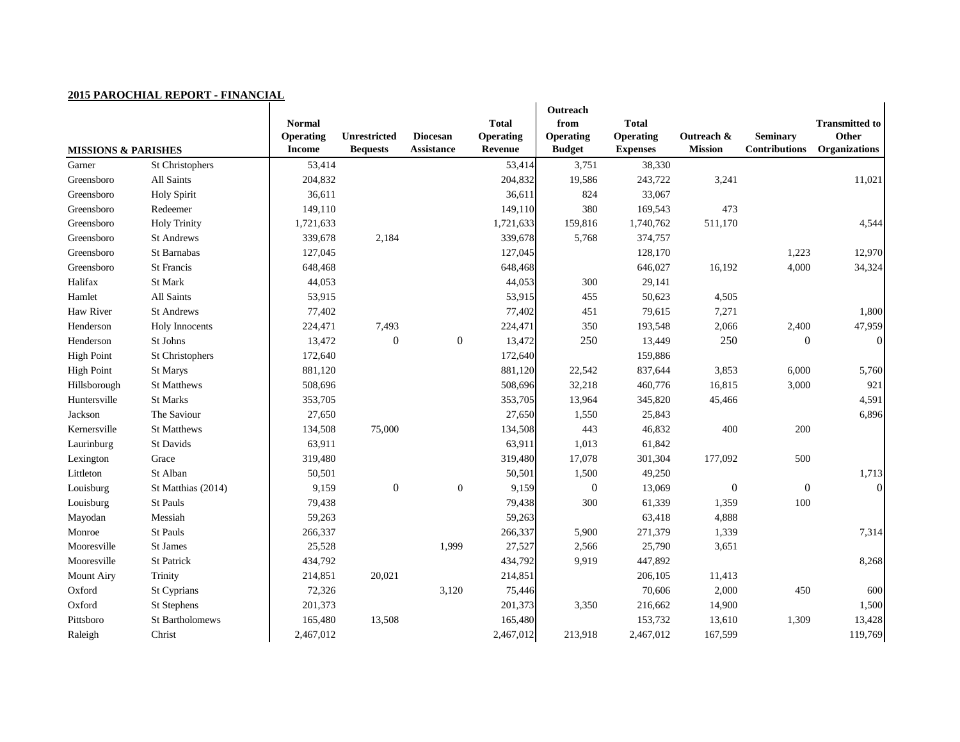|                                | <u> 2015 PAROCHIAL REPORT - FINANCIAL</u> |                                                    |                                 |                                      |                                             |                                                       |                                                     |                              |                                         |                                                        |
|--------------------------------|-------------------------------------------|----------------------------------------------------|---------------------------------|--------------------------------------|---------------------------------------------|-------------------------------------------------------|-----------------------------------------------------|------------------------------|-----------------------------------------|--------------------------------------------------------|
| <b>MISSIONS &amp; PARISHES</b> |                                           | <b>Normal</b><br><b>Operating</b><br><b>Income</b> | Unrestricted<br><b>Bequests</b> | <b>Diocesan</b><br><b>Assistance</b> | <b>Total</b><br><b>Operating</b><br>Revenue | Outreach<br>from<br><b>Operating</b><br><b>Budget</b> | <b>Total</b><br><b>Operating</b><br><b>Expenses</b> | Outreach &<br><b>Mission</b> | <b>Seminary</b><br><b>Contributions</b> | <b>Transmitted to</b><br>Other<br><b>Organizations</b> |
| Garner                         | St Christophers                           | 53,414                                             |                                 |                                      | 53,414                                      | 3,751                                                 | 38,330                                              |                              |                                         |                                                        |
| Greensboro                     | All Saints                                | 204,832                                            |                                 |                                      | 204,832                                     | 19,586                                                | 243,722                                             | 3,241                        |                                         | 11,021                                                 |
| Greensboro                     | <b>Holy Spirit</b>                        | 36,611                                             |                                 |                                      | 36,611                                      | 824                                                   | 33,067                                              |                              |                                         |                                                        |
| Greensboro                     | Redeemer                                  | 149,110                                            |                                 |                                      | 149,110                                     | 380                                                   | 169,543                                             | 473                          |                                         |                                                        |
| Greensboro                     | <b>Holy Trinity</b>                       | 1,721,633                                          |                                 |                                      | 1,721,633                                   | 159,816                                               | 1,740,762                                           | 511,170                      |                                         | 4,544                                                  |
| Greensboro                     | <b>St Andrews</b>                         | 339,678                                            | 2,184                           |                                      | 339,678                                     | 5,768                                                 | 374,757                                             |                              |                                         |                                                        |
| Greensboro                     | St Barnabas                               | 127,045                                            |                                 |                                      | 127,045                                     |                                                       | 128,170                                             |                              | 1,223                                   | 12,970                                                 |
| Greensboro                     | St Francis                                | 648,468                                            |                                 |                                      | 648,468                                     |                                                       | 646,027                                             | 16,192                       | 4,000                                   | 34,324                                                 |
| Halifax                        | St Mark                                   | 44,053                                             |                                 |                                      | 44,053                                      | 300                                                   | 29,141                                              |                              |                                         |                                                        |
| Hamlet                         | All Saints                                | 53,915                                             |                                 |                                      | 53,915                                      | 455                                                   | 50,623                                              | 4,505                        |                                         |                                                        |
| Haw River                      | <b>St Andrews</b>                         | 77,402                                             |                                 |                                      | 77,402                                      | 451                                                   | 79,615                                              | 7,271                        |                                         | 1,800                                                  |
| Henderson                      | <b>Holy Innocents</b>                     | 224,471                                            | 7,493                           |                                      | 224,471                                     | 350                                                   | 193,548                                             | 2,066                        | 2,400                                   | 47,959                                                 |
| Henderson                      | St Johns                                  | 13,472                                             | $\boldsymbol{0}$                | $\overline{0}$                       | 13,472                                      | 250                                                   | 13,449                                              | 250                          | $\boldsymbol{0}$                        | $\vert 0 \vert$                                        |
| <b>High Point</b>              | St Christophers                           | 172,640                                            |                                 |                                      | 172,640                                     |                                                       | 159,886                                             |                              |                                         |                                                        |
| <b>High Point</b>              | St Marys                                  | 881,120                                            |                                 |                                      | 881,120                                     | 22,542                                                | 837,644                                             | 3,853                        | 6,000                                   | 5,760                                                  |
| Hillsborough                   | <b>St Matthews</b>                        | 508,696                                            |                                 |                                      | 508,696                                     | 32,218                                                | 460,776                                             | 16,815                       | 3,000                                   | 921                                                    |
| Huntersville                   | <b>St Marks</b>                           | 353,705                                            |                                 |                                      | 353,705                                     | 13,964                                                | 345,820                                             | 45,466                       |                                         | 4,591                                                  |
| Jackson                        | The Saviour                               | 27,650                                             |                                 |                                      | 27,650                                      | 1,550                                                 | 25,843                                              |                              |                                         | 6,896                                                  |
| Kernersville                   | <b>St Matthews</b>                        | 134,508                                            | 75,000                          |                                      | 134,508                                     | 443                                                   | 46,832                                              | 400                          | 200                                     |                                                        |
| Laurinburg                     | St Davids                                 | 63,911                                             |                                 |                                      | 63,911                                      | 1,013                                                 | 61,842                                              |                              |                                         |                                                        |
| Lexington                      | Grace                                     | 319,480                                            |                                 |                                      | 319,480                                     | 17,078                                                | 301,304                                             | 177,092                      | 500                                     |                                                        |
| Littleton                      | St Alban                                  | 50,501                                             |                                 |                                      | 50,501                                      | 1,500                                                 | 49,250                                              |                              |                                         | 1,713                                                  |
| Louisburg                      | St Matthias (2014)                        | 9,159                                              | $\boldsymbol{0}$                | $\mathbf{0}$                         | 9,159                                       | $\boldsymbol{0}$                                      | 13,069                                              | $\boldsymbol{0}$             | $\boldsymbol{0}$                        | $\vert 0 \vert$                                        |
| Louisburg                      | St Pauls                                  | 79,438                                             |                                 |                                      | 79,438                                      | 300                                                   | 61,339                                              | 1,359                        | 100                                     |                                                        |
| Mayodan                        | Messiah                                   | 59,263                                             |                                 |                                      | 59,263                                      |                                                       | 63,418                                              | 4,888                        |                                         |                                                        |
| Monroe                         | St Pauls                                  | 266,337                                            |                                 |                                      | 266,337                                     | 5,900                                                 | 271,379                                             | 1,339                        |                                         | 7,314                                                  |
| Mooresville                    | St James                                  | 25,528                                             |                                 | 1,999                                | 27,527                                      | 2,566                                                 | 25,790                                              | 3,651                        |                                         |                                                        |
| Mooresville                    | St Patrick                                | 434,792                                            |                                 |                                      | 434,792                                     | 9,919                                                 | 447,892                                             |                              |                                         | 8,268                                                  |
| <b>Mount Airy</b>              | Trinity                                   | 214,851                                            | 20,021                          |                                      | 214,851                                     |                                                       | 206,105                                             | 11,413                       |                                         |                                                        |
| Oxford                         | St Cyprians                               | 72,326                                             |                                 | 3,120                                | 75,446                                      |                                                       | 70,606                                              | 2,000                        | 450                                     | 600                                                    |
| Oxford                         | St Stephens                               | 201,373                                            |                                 |                                      | 201,373                                     | 3,350                                                 | 216,662                                             | 14,900                       |                                         | 1,500                                                  |
| Pittsboro                      | St Bartholomews                           | 165,480                                            | 13,508                          |                                      | 165,480                                     |                                                       | 153,732                                             | 13,610                       | 1,309                                   | 13,428                                                 |
| Raleigh                        | Christ                                    | 2,467,012                                          |                                 |                                      | 2,467,012                                   | 213,918                                               | 2,467,012                                           | 167,599                      |                                         | 119,769                                                |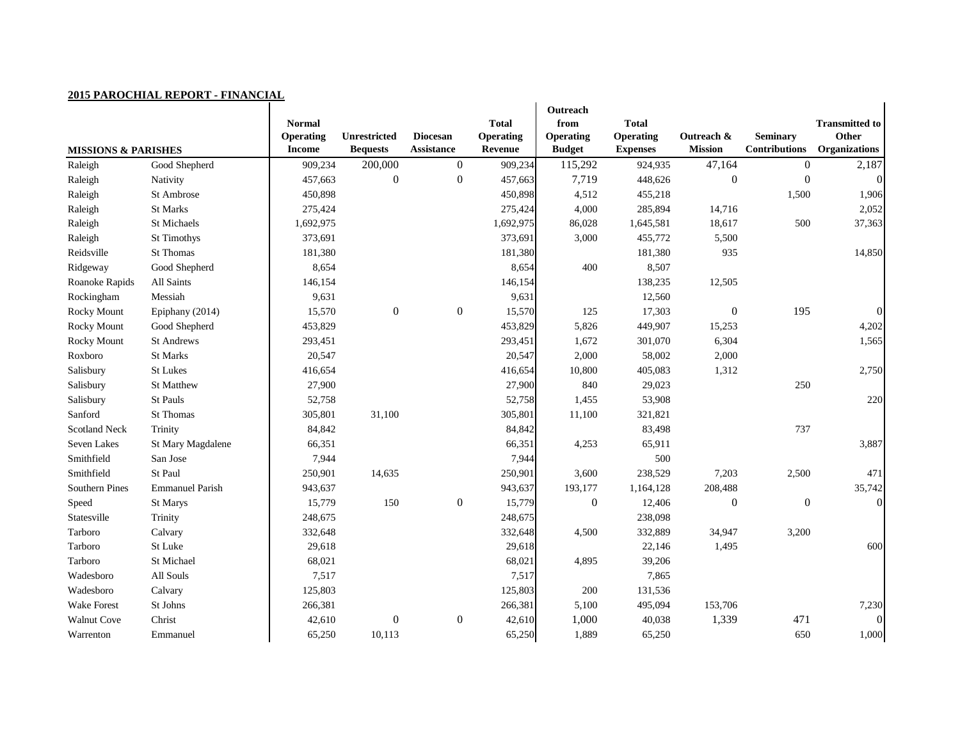| POLY L'ARO CHARL REA ORT<br><b>MISSIONS &amp; PARISHES</b> | <b>THURSDAY</b>        | <b>Normal</b><br><b>Operating</b><br><b>Income</b> | <b>Unrestricted</b><br><b>Bequests</b> | <b>Diocesan</b><br><b>Assistance</b> | <b>Total</b><br><b>Operating</b><br><b>Revenue</b> | Outreach<br>from<br><b>Operating</b><br><b>Budget</b> | <b>Total</b><br><b>Operating</b><br><b>Expenses</b> | Outreach &<br><b>Mission</b> | <b>Seminary</b><br><b>Contributions</b> | <b>Transmitted to</b><br>Other<br><b>Organizations</b> |
|------------------------------------------------------------|------------------------|----------------------------------------------------|----------------------------------------|--------------------------------------|----------------------------------------------------|-------------------------------------------------------|-----------------------------------------------------|------------------------------|-----------------------------------------|--------------------------------------------------------|
| Raleigh                                                    | Good Shepherd          | 909,234                                            | 200,000                                | $\overline{0}$                       | 909,234                                            | 115,292                                               | 924,935                                             | 47,164                       | $\boldsymbol{0}$                        | 2,187                                                  |
| Raleigh                                                    | Nativity               | 457,663                                            | $\boldsymbol{0}$                       | $\boldsymbol{0}$                     | 457,663                                            | 7,719                                                 | 448,626                                             | $\overline{0}$               | $\overline{0}$                          |                                                        |
| Raleigh                                                    | St Ambrose             | 450,898                                            |                                        |                                      | 450,898                                            | 4,512                                                 | 455,218                                             |                              | 1,500                                   | 1,906                                                  |
| Raleigh                                                    | St Marks               | 275,424                                            |                                        |                                      | 275,424                                            | 4,000                                                 | 285,894                                             | 14,716                       |                                         | 2,052                                                  |
| Raleigh                                                    | St Michaels            | 1,692,975                                          |                                        |                                      | 1,692,975                                          | 86,028                                                | 1,645,581                                           | 18,617                       | 500                                     | 37,363                                                 |
| Raleigh                                                    | <b>St Timothys</b>     | 373,691                                            |                                        |                                      | 373,691                                            | 3,000                                                 | 455,772                                             | 5,500                        |                                         |                                                        |
| Reidsville                                                 | <b>St Thomas</b>       | 181,380                                            |                                        |                                      | 181,380                                            |                                                       | 181,380                                             | 935                          |                                         | 14,850                                                 |
| Ridgeway                                                   | Good Shepherd          | 8,654                                              |                                        |                                      | 8,654                                              | 400                                                   | 8,507                                               |                              |                                         |                                                        |
| Roanoke Rapids                                             | All Saints             | 146,154                                            |                                        |                                      | 146,154                                            |                                                       | 138,235                                             | 12,505                       |                                         |                                                        |
| Rockingham                                                 | Messiah                | 9,631                                              |                                        |                                      | 9,631                                              |                                                       | 12,560                                              |                              |                                         |                                                        |
| <b>Rocky Mount</b>                                         | Epiphany (2014)        | 15,570                                             | $\boldsymbol{0}$                       | $\boldsymbol{0}$                     | 15,570                                             | 125                                                   | 17,303                                              | $\overline{0}$               | 195                                     | $\overline{0}$                                         |
| <b>Rocky Mount</b>                                         | Good Shepherd          | 453,829                                            |                                        |                                      | 453,829                                            | 5,826                                                 | 449,907                                             | 15,253                       |                                         | 4,202                                                  |
| <b>Rocky Mount</b>                                         | <b>St Andrews</b>      | 293,451                                            |                                        |                                      | 293,451                                            | 1,672                                                 | 301,070                                             | 6,304                        |                                         | 1,565                                                  |
| Roxboro                                                    | <b>St Marks</b>        | 20,547                                             |                                        |                                      | 20,547                                             | 2,000                                                 | 58,002                                              | 2,000                        |                                         |                                                        |
| Salisbury                                                  | <b>St Lukes</b>        | 416,654                                            |                                        |                                      | 416,654                                            | 10,800                                                | 405,083                                             | 1,312                        |                                         | 2,750                                                  |
| Salisbury                                                  | St Matthew             | 27,900                                             |                                        |                                      | 27,900                                             | 840                                                   | 29,023                                              |                              | 250                                     |                                                        |
| Salisbury                                                  | St Pauls               | 52,758                                             |                                        |                                      | 52,758                                             | 1,455                                                 | 53,908                                              |                              |                                         | 220                                                    |
| Sanford                                                    | St Thomas              | 305,801                                            | 31,100                                 |                                      | 305,801                                            | 11,100                                                | 321,821                                             |                              |                                         |                                                        |
| <b>Scotland Neck</b>                                       | Trinity                | 84,842                                             |                                        |                                      | 84,842                                             |                                                       | 83,498                                              |                              | 737                                     |                                                        |
| Seven Lakes                                                | St Mary Magdalene      | 66,351                                             |                                        |                                      | 66,351                                             | 4,253                                                 | 65,911                                              |                              |                                         | 3,887                                                  |
| Smithfield                                                 | San Jose               | 7,944                                              |                                        |                                      | 7,944                                              |                                                       | 500                                                 |                              |                                         |                                                        |
| Smithfield                                                 | St Paul                | 250,901                                            | 14,635                                 |                                      | 250,901                                            | 3,600                                                 | 238,529                                             | 7,203                        | 2,500                                   | 471                                                    |
| <b>Southern Pines</b>                                      | <b>Emmanuel Parish</b> | 943,637                                            |                                        |                                      | 943,637                                            | 193,177                                               | 1,164,128                                           | 208,488                      |                                         | 35,742                                                 |
| Speed                                                      | St Marys               | 15,779                                             | 150                                    | $\boldsymbol{0}$                     | 15,779                                             | $\boldsymbol{0}$                                      | 12,406                                              | $\overline{0}$               | $\boldsymbol{0}$                        | $\Omega$                                               |
| Statesville                                                | Trinity                | 248,675                                            |                                        |                                      | 248,675                                            |                                                       | 238,098                                             |                              |                                         |                                                        |
| Tarboro                                                    | Calvary                | 332,648                                            |                                        |                                      | 332,648                                            | 4,500                                                 | 332,889                                             | 34,947                       | 3,200                                   |                                                        |
| Tarboro                                                    | St Luke                | 29,618                                             |                                        |                                      | 29,618                                             |                                                       | 22,146                                              | 1,495                        |                                         | 600                                                    |
| Tarboro                                                    | St Michael             | 68,021                                             |                                        |                                      | 68,021                                             | 4,895                                                 | 39,206                                              |                              |                                         |                                                        |
| Wadesboro                                                  | All Souls              | 7,517                                              |                                        |                                      | 7,517                                              |                                                       | 7,865                                               |                              |                                         |                                                        |
| Wadesboro                                                  | Calvary                | 125,803                                            |                                        |                                      | 125,803                                            | 200                                                   | 131,536                                             |                              |                                         |                                                        |
| <b>Wake Forest</b>                                         | St Johns               | 266,381                                            |                                        |                                      | 266,381                                            | 5,100                                                 | 495,094                                             | 153,706                      |                                         | 7,230                                                  |
| <b>Walnut Cove</b>                                         | Christ                 | 42,610                                             | $\boldsymbol{0}$                       | $\boldsymbol{0}$                     | 42,610                                             | 1,000                                                 | 40,038                                              | 1,339                        | 471                                     | $\vert 0 \vert$                                        |
| Warrenton                                                  | Emmanuel               | 65,250                                             | 10,113                                 |                                      | 65,250                                             | 1,889                                                 | 65,250                                              |                              | 650                                     | 1,000                                                  |